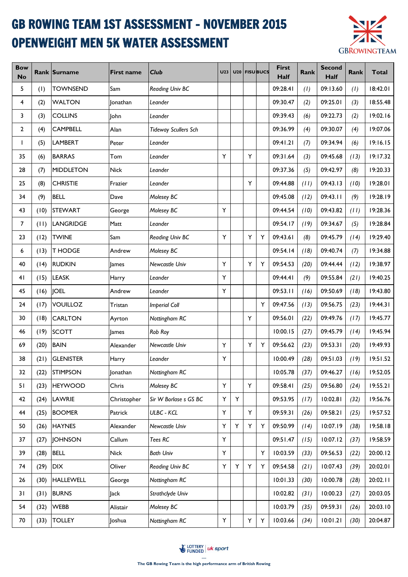## GB ROWING TEAM 1ST ASSESSMENT - NOVEMBER 2015 OPENWEIGHT MEN 5K WATER ASSESSMENT



| <b>Bow</b><br><b>No</b> |      | Rank Surname     | <b>First name</b> | <b>Club</b>                 | U <sub>23</sub> |   |   | U20 FISUBUCS | <b>First</b><br>Half | Rank | <b>Second</b><br>Half | Rank | <b>Total</b> |
|-------------------------|------|------------------|-------------------|-----------------------------|-----------------|---|---|--------------|----------------------|------|-----------------------|------|--------------|
| 5                       | (1)  | <b>TOWNSEND</b>  | Sam               | Reading Univ BC             |                 |   |   |              | 09:28.41             | (1)  | 09:13.60              | (1)  | 18:42.01     |
| 4                       | (2)  | <b>WALTON</b>    | lonathan          | Leander                     |                 |   |   |              | 09:30.47             | (2)  | 09:25.01              | (3)  | 18:55.48     |
| 3                       | (3)  | <b>COLLINS</b>   | John              | Leander                     |                 |   |   |              | 09:39.43             | (6)  | 09:22.73              | (2)  | 19:02.16     |
| $\overline{2}$          | (4)  | <b>CAMPBELL</b>  | Alan              | <b>Tideway Scullers Sch</b> |                 |   |   |              | 09:36.99             | (4)  | 09:30.07              | (4)  | 19:07.06     |
| L                       | (5)  | <b>LAMBERT</b>   | Peter             | Leander                     |                 |   |   |              | 09:41.21             | (7)  | 09:34.94              | (6)  | 19:16.15     |
| 35                      | (6)  | <b>BARRAS</b>    | Tom               | Leander                     | Y               |   | Y |              | 09:31.64             | (3)  | 09:45.68              | (13) | 19:17.32     |
| 28                      | (7)  | <b>MIDDLETON</b> | <b>Nick</b>       | Leander                     |                 |   |   |              | 09:37.36             | (5)  | 09:42.97              | (8)  | 19:20.33     |
| 25                      | (8)  | <b>CHRISTIE</b>  | Frazier           | Leander                     |                 |   | Y |              | 09:44.88             | (11) | 09:43.13              | (10) | 19:28.01     |
| 34                      | (9)  | <b>BELL</b>      | Dave              | Molesey BC                  |                 |   |   |              | 09:45.08             | (12) | 09:43.11              | (9)  | 19:28.19     |
| 43                      | (10) | <b>STEWART</b>   | George            | Molesey BC                  | Y               |   |   |              | 09:44.54             | (10) | 09:43.82              | (11) | 19:28.36     |
| $\overline{7}$          | (11) | LANGRIDGE        | Matt              | Leander                     |                 |   |   |              | 09:54.17             | (19) | 09:34.67              | (5)  | 19:28.84     |
| 23                      | (12) | <b>TWINE</b>     | Sam               | Reading Univ BC             | Υ               |   | Y | Y            | 09:43.61             | (8)  | 09:45.79              | (14) | 19:29.40     |
| 6                       | (13) | <b>T HODGE</b>   | Andrew            | Molesey BC                  |                 |   |   |              | 09:54.14             | (18) | 09:40.74              | (7)  | 19:34.88     |
| 40                      | (14) | <b>RUDKIN</b>    | James             | Newcastle Univ              | Y               |   | Y | Y            | 09:54.53             | (20) | 09:44.44              | (12) | 19:38.97     |
| 41                      | (15) | <b>LEASK</b>     | Harry             | Leander                     | Y               |   |   |              | 09:44.41             | (9)  | 09:55.84              | (21) | 19:40.25     |
| 45                      | (16) | <b>JOEL</b>      | Andrew            | Leander                     | Y               |   |   |              | 09:53.11             | (16) | 09:50.69              | (18) | 19:43.80     |
| 24                      | (17) | <b>VOUILLOZ</b>  | Tristan           | <b>Imperial Coll</b>        |                 |   |   | Y            | 09:47.56             | (13) | 09:56.75              | (23) | 19:44.31     |
| 30                      | (18) | <b>CARLTON</b>   | Ayrton            | Nottingham RC               |                 |   | Υ |              | 09:56.01             | (22) | 09:49.76              | (17) | 19:45.77     |
| 46                      | (19) | <b>SCOTT</b>     | lames             | Rob Roy                     |                 |   |   |              | 10:00.15             | (27) | 09:45.79              | (14) | 19:45.94     |
| 69                      | (20) | <b>BAIN</b>      | Alexander         | Newcastle Univ              | Υ               |   | Y | Y            | 09:56.62             | (23) | 09:53.31              | (20) | 19:49.93     |
| 38                      | (21) | <b>GLENISTER</b> | Harry             | Leander                     | Y               |   |   |              | 10:00.49             | (28) | 09:51.03              | (19) | 19:51.52     |
| 32                      | (22) | <b>STIMPSON</b>  | Jonathan          | Nottingham RC               |                 |   |   |              | 10:05.78             | (37) | 09:46.27              | (16) | 19:52.05     |
| 51                      | (23) | <b>HEYWOOD</b>   | Chris             | Molesey BC                  | Y               |   | Y |              | 09:58.41             | (25) | 09:56.80              | (24) | 19:55.21     |
| 42                      | (24) | LAWRIE           | Christopher       | Sir W Borlase s GS BC       | Υ               | Υ |   |              | 09:53.95             | (17) | 10:02.81              | (32) | 19:56.76     |
| 44                      | (25) | <b>BOOMER</b>    | Patrick           | <b>ULBC - KCL</b>           | Y               |   | Y |              | 09:59.31             | (26) | 09:58.21              | (25) | 19:57.52     |
| 50                      | (26) | <b>HAYNES</b>    | Alexander         | Newcastle Univ              | Υ               | Y | Y | Y            | 09:50.99             | (14) | 10:07.19              | (38) | 19:58.18     |
| 37                      | (27) | <b>JOHNSON</b>   | Callum            | Tees RC                     | Y               |   |   |              | 09:51.47             | (15) | 10:07.12              | (37) | 19:58.59     |
| 39                      | (28) | <b>BELL</b>      | <b>Nick</b>       | <b>Bath Univ</b>            | Υ               |   |   | Υ            | 10:03.59             | (33) | 09:56.53              | (22) | 20:00.12     |
| 74                      | (29) | DIX              | Oliver            | Reading Univ BC             | Y               | Y | Y | Y            | 09:54.58             | (21) | 10:07.43              | (39) | 20:02.01     |
| 26                      | (30) | HALLEWELL        | George            | Nottingham RC               |                 |   |   |              | 10:01.33             | (30) | 10:00.78              | (28) | 20:02.11     |
| 31                      | (31) | <b>BURNS</b>     | Jack              | Strathclyde Univ            |                 |   |   |              | 10:02.82             | (31) | 10:00.23              | (27) | 20:03.05     |
| 54                      | (32) | <b>WEBB</b>      | Alistair          | Molesey BC                  |                 |   |   |              | 10:03.79             | (35) | 09:59.31              | (26) | 20:03.10     |
| 70                      | (33) | <b>TOLLEY</b>    | Joshua            | Nottingham RC               | Υ               |   | Υ | Υ            | 10:03.66             | (34) | 10:01.21              | (30) | 20:04.87     |